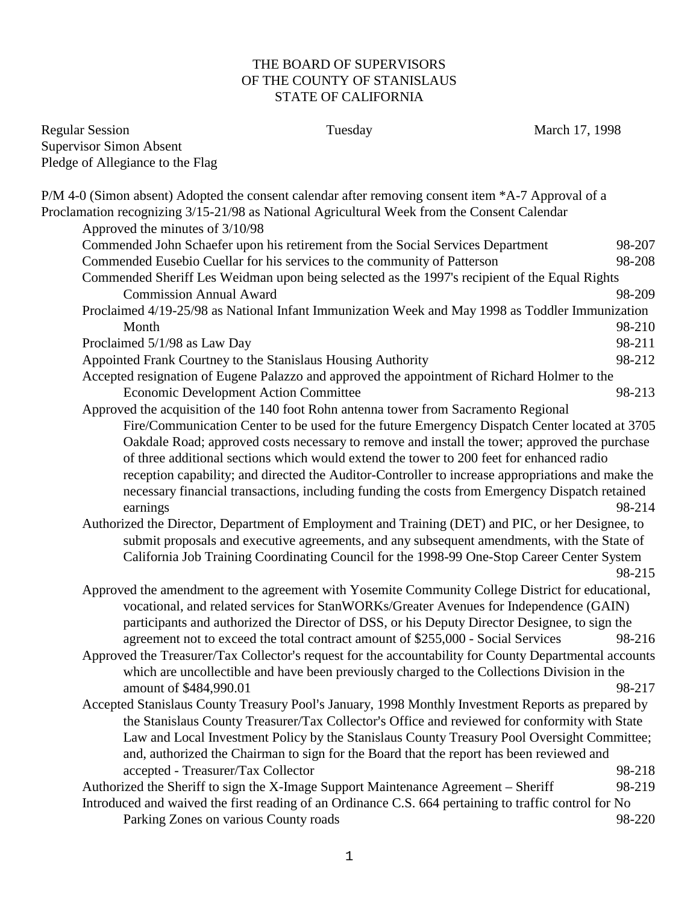## THE BOARD OF SUPERVISORS OF THE COUNTY OF STANISLAUS STATE OF CALIFORNIA

Regular Session Tuesday Tuesday March 17, 1998 Supervisor Simon Absent Pledge of Allegiance to the Flag

| P/M 4-0 (Simon absent) Adopted the consent calendar after removing consent item *A-7 Approval of a     |        |
|--------------------------------------------------------------------------------------------------------|--------|
| Proclamation recognizing 3/15-21/98 as National Agricultural Week from the Consent Calendar            |        |
| Approved the minutes of 3/10/98                                                                        |        |
| Commended John Schaefer upon his retirement from the Social Services Department                        | 98-207 |
| Commended Eusebio Cuellar for his services to the community of Patterson                               | 98-208 |
| Commended Sheriff Les Weidman upon being selected as the 1997's recipient of the Equal Rights          |        |
| <b>Commission Annual Award</b>                                                                         | 98-209 |
| Proclaimed 4/19-25/98 as National Infant Immunization Week and May 1998 as Toddler Immunization        |        |
| Month                                                                                                  | 98-210 |
| Proclaimed 5/1/98 as Law Day                                                                           | 98-211 |
| Appointed Frank Courtney to the Stanislaus Housing Authority                                           | 98-212 |
| Accepted resignation of Eugene Palazzo and approved the appointment of Richard Holmer to the           |        |
| <b>Economic Development Action Committee</b>                                                           | 98-213 |
| Approved the acquisition of the 140 foot Rohn antenna tower from Sacramento Regional                   |        |
| Fire/Communication Center to be used for the future Emergency Dispatch Center located at 3705          |        |
| Oakdale Road; approved costs necessary to remove and install the tower; approved the purchase          |        |
| of three additional sections which would extend the tower to 200 feet for enhanced radio               |        |
| reception capability; and directed the Auditor-Controller to increase appropriations and make the      |        |
| necessary financial transactions, including funding the costs from Emergency Dispatch retained         |        |
| earnings                                                                                               | 98-214 |
| Authorized the Director, Department of Employment and Training (DET) and PIC, or her Designee, to      |        |
| submit proposals and executive agreements, and any subsequent amendments, with the State of            |        |
| California Job Training Coordinating Council for the 1998-99 One-Stop Career Center System             |        |
|                                                                                                        | 98-215 |
| Approved the amendment to the agreement with Yosemite Community College District for educational,      |        |
| vocational, and related services for StanWORKs/Greater Avenues for Independence (GAIN)                 |        |
| participants and authorized the Director of DSS, or his Deputy Director Designee, to sign the          |        |
| agreement not to exceed the total contract amount of \$255,000 - Social Services                       | 98-216 |
| Approved the Treasurer/Tax Collector's request for the accountability for County Departmental accounts |        |
| which are uncollectible and have been previously charged to the Collections Division in the            |        |
| amount of \$484,990.01                                                                                 | 98-217 |
| Accepted Stanislaus County Treasury Pool's January, 1998 Monthly Investment Reports as prepared by     |        |
| the Stanislaus County Treasurer/Tax Collector's Office and reviewed for conformity with State          |        |
| Law and Local Investment Policy by the Stanislaus County Treasury Pool Oversight Committee;            |        |
| and, authorized the Chairman to sign for the Board that the report has been reviewed and               |        |
| accepted - Treasurer/Tax Collector                                                                     | 98-218 |
| Authorized the Sheriff to sign the X-Image Support Maintenance Agreement – Sheriff                     | 98-219 |
| Introduced and waived the first reading of an Ordinance C.S. 664 pertaining to traffic control for No  |        |
| Parking Zones on various County roads                                                                  | 98-220 |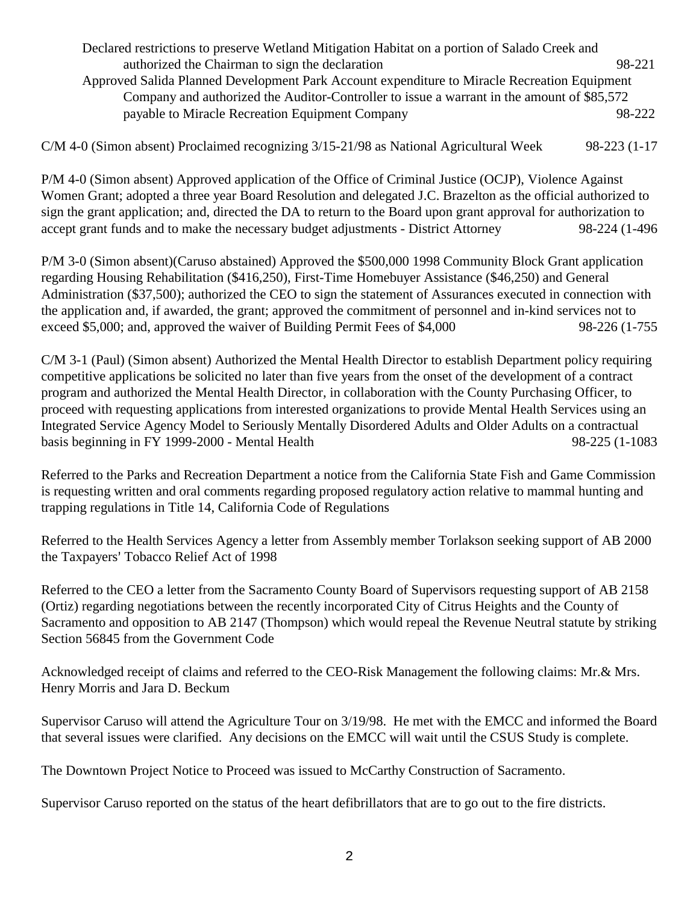Declared restrictions to preserve Wetland Mitigation Habitat on a portion of Salado Creek and authorized the Chairman to sign the declaration 98-221 Approved Salida Planned Development Park Account expenditure to Miracle Recreation Equipment Company and authorized the Auditor-Controller to issue a warrant in the amount of \$85,572 payable to Miracle Recreation Equipment Company 98-222

C/M 4-0 (Simon absent) Proclaimed recognizing 3/15-21/98 as National Agricultural Week 98-223 (1-17

P/M 4-0 (Simon absent) Approved application of the Office of Criminal Justice (OCJP), Violence Against Women Grant; adopted a three year Board Resolution and delegated J.C. Brazelton as the official authorized to sign the grant application; and, directed the DA to return to the Board upon grant approval for authorization to accept grant funds and to make the necessary budget adjustments - District Attorney 98-224 (1-496

P/M 3-0 (Simon absent)(Caruso abstained) Approved the \$500,000 1998 Community Block Grant application regarding Housing Rehabilitation (\$416,250), First-Time Homebuyer Assistance (\$46,250) and General Administration (\$37,500); authorized the CEO to sign the statement of Assurances executed in connection with the application and, if awarded, the grant; approved the commitment of personnel and in-kind services not to exceed \$5,000; and, approved the waiver of Building Permit Fees of \$4,000 98-226 (1-755

C/M 3-1 (Paul) (Simon absent) Authorized the Mental Health Director to establish Department policy requiring competitive applications be solicited no later than five years from the onset of the development of a contract program and authorized the Mental Health Director, in collaboration with the County Purchasing Officer, to proceed with requesting applications from interested organizations to provide Mental Health Services using an Integrated Service Agency Model to Seriously Mentally Disordered Adults and Older Adults on a contractual basis beginning in FY 1999-2000 - Mental Health 98-225 (1-1083

Referred to the Parks and Recreation Department a notice from the California State Fish and Game Commission is requesting written and oral comments regarding proposed regulatory action relative to mammal hunting and trapping regulations in Title 14, California Code of Regulations

Referred to the Health Services Agency a letter from Assembly member Torlakson seeking support of AB 2000 the Taxpayers' Tobacco Relief Act of 1998

Referred to the CEO a letter from the Sacramento County Board of Supervisors requesting support of AB 2158 (Ortiz) regarding negotiations between the recently incorporated City of Citrus Heights and the County of Sacramento and opposition to AB 2147 (Thompson) which would repeal the Revenue Neutral statute by striking Section 56845 from the Government Code

Acknowledged receipt of claims and referred to the CEO-Risk Management the following claims: Mr.& Mrs. Henry Morris and Jara D. Beckum

Supervisor Caruso will attend the Agriculture Tour on 3/19/98. He met with the EMCC and informed the Board that several issues were clarified. Any decisions on the EMCC will wait until the CSUS Study is complete.

The Downtown Project Notice to Proceed was issued to McCarthy Construction of Sacramento.

Supervisor Caruso reported on the status of the heart defibrillators that are to go out to the fire districts.